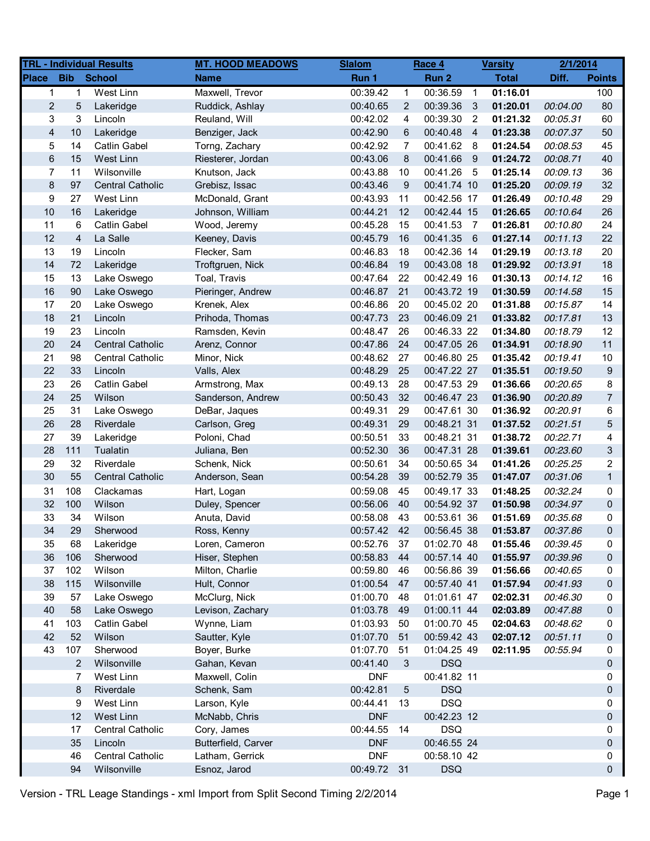|                         |                | <b>TRL - Individual Results</b> | <b>MT. HOOD MEADOWS</b> | <b>Slalom</b> |             | Race 4      |                | <b>Varsity</b> | 2/1/2014 |                |
|-------------------------|----------------|---------------------------------|-------------------------|---------------|-------------|-------------|----------------|----------------|----------|----------------|
| <b>Place</b>            | <b>Bib</b>     | <b>School</b>                   | <b>Name</b>             | Run 1         |             | Run 2       |                | <b>Total</b>   | Diff.    | <b>Points</b>  |
| $\mathbf 1$             | 1              | West Linn                       | Maxwell, Trevor         | 00:39.42      | $\mathbf 1$ | 00:36.59    | $\overline{1}$ | 01:16.01       |          | 100            |
| $\overline{c}$          | 5              | Lakeridge                       | Ruddick, Ashlay         | 00:40.65      | 2           | 00:39.36    | 3              | 01:20.01       | 00:04.00 | 80             |
| 3                       | 3              | Lincoln                         | Reuland, Will           | 00:42.02      | 4           | 00:39.30    | -2             | 01:21.32       | 00:05.31 | 60             |
| $\overline{\mathbf{4}}$ | $10$           | Lakeridge                       | Benziger, Jack          | 00:42.90      | 6           | 00:40.48    | $\overline{4}$ | 01:23.38       | 00:07.37 | 50             |
| 5                       | 14             | Catlin Gabel                    | Torng, Zachary          | 00:42.92      | 7           | 00:41.62    | 8              | 01:24.54       | 00:08.53 | 45             |
| $\,6\,$                 | 15             | <b>West Linn</b>                | Riesterer, Jordan       | 00:43.06      | 8           | 00:41.66    | -9             | 01:24.72       | 00:08.71 | 40             |
| $\overline{7}$          | 11             | Wilsonville                     | Knutson, Jack           | 00:43.88      | 10          | 00:41.26    | 5              | 01:25.14       | 00:09.13 | 36             |
| $\bf 8$                 | 97             | <b>Central Catholic</b>         | Grebisz, Issac          | 00:43.46      | 9           | 00:41.74 10 |                | 01:25.20       | 00:09.19 | 32             |
| 9                       | 27             | West Linn                       | McDonald, Grant         | 00:43.93      | 11          | 00:42.56 17 |                | 01:26.49       | 00:10.48 | 29             |
| 10                      | 16             | Lakeridge                       | Johnson, William        | 00:44.21      | 12          | 00:42.44 15 |                | 01:26.65       | 00:10.64 | 26             |
| 11                      | 6              | Catlin Gabel                    | Wood, Jeremy            | 00:45.28      | 15          | 00:41.53    | $\overline{7}$ | 01:26.81       | 00:10.80 | 24             |
| 12                      | $\overline{4}$ | La Salle                        | Keeney, Davis           | 00:45.79      | 16          | 00:41.35 6  |                | 01:27.14       | 00:11.13 | 22             |
| 13                      | 19             | Lincoln                         | Flecker, Sam            | 00:46.83      | 18          | 00:42.36 14 |                | 01:29.19       | 00:13.18 | 20             |
| 14                      | 72             | Lakeridge                       | Troftgruen, Nick        | 00:46.84      | 19          | 00:43.08 18 |                | 01:29.92       | 00:13.91 | 18             |
| 15                      | 13             | Lake Oswego                     | Toal, Travis            | 00:47.64      | 22          | 00:42.49 16 |                | 01:30.13       | 00:14.12 | 16             |
| 16                      | 90             | Lake Oswego                     | Pieringer, Andrew       | 00:46.87      | 21          | 00:43.72 19 |                | 01:30.59       | 00:14.58 | 15             |
| 17                      | 20             | Lake Oswego                     | Krenek, Alex            | 00:46.86      | 20          | 00:45.02 20 |                | 01:31.88       | 00:15.87 | 14             |
| 18                      | 21             | Lincoln                         | Prihoda, Thomas         | 00:47.73      | 23          | 00:46.09 21 |                | 01:33.82       | 00:17.81 | 13             |
| 19                      | 23             | Lincoln                         | Ramsden, Kevin          | 00:48.47      | 26          | 00:46.33 22 |                | 01:34.80       | 00:18.79 | 12             |
| 20                      | 24             | <b>Central Catholic</b>         | Arenz, Connor           | 00:47.86      | 24          | 00:47.05 26 |                | 01:34.91       | 00:18.90 | 11             |
| 21                      | 98             | <b>Central Catholic</b>         | Minor, Nick             | 00:48.62      | 27          | 00:46.80 25 |                | 01:35.42       | 00:19.41 | 10             |
| 22                      | 33             | Lincoln                         | Valls, Alex             | 00:48.29      | 25          | 00:47.22 27 |                | 01:35.51       | 00:19.50 | 9              |
| 23                      | 26             | Catlin Gabel                    | Armstrong, Max          | 00:49.13      | 28          | 00:47.53 29 |                | 01:36.66       | 00:20.65 | 8              |
| 24                      | 25             | Wilson                          | Sanderson, Andrew       | 00:50.43      | 32          | 00:46.47 23 |                | 01:36.90       | 00:20.89 | $\overline{7}$ |
| 25                      | 31             | Lake Oswego                     | DeBar, Jaques           | 00:49.31      | 29          | 00:47.61 30 |                | 01:36.92       | 00:20.91 | 6              |
| 26                      | 28             | Riverdale                       | Carlson, Greg           | 00:49.31      | 29          | 00:48.21 31 |                | 01:37.52       | 00:21.51 | 5              |
| 27                      | 39             | Lakeridge                       | Poloni, Chad            | 00:50.51      | 33          | 00:48.21 31 |                | 01:38.72       | 00:22.71 | 4              |
| 28                      | 111            | Tualatin                        | Juliana, Ben            | 00:52.30      | 36          | 00:47.31 28 |                | 01:39.61       | 00:23.60 | 3              |
| 29                      | 32             | Riverdale                       | Schenk, Nick            | 00:50.61      | 34          | 00:50.65 34 |                | 01:41.26       | 00:25.25 | $\overline{2}$ |
| 30                      | 55             | <b>Central Catholic</b>         | Anderson, Sean          | 00:54.28      | 39          | 00:52.79 35 |                | 01:47.07       | 00:31.06 | $\mathbf{1}$   |
| 31                      | 108            | Clackamas                       | Hart, Logan             | 00:59.08      | 45          | 00:49.17 33 |                | 01:48.25       | 00:32.24 | 0              |
| 32                      | 100            | Wilson                          | Duley, Spencer          | 00:56.06      | 40          | 00:54.92 37 |                | 01:50.98       | 00:34.97 | 0              |
| 33                      | 34             | Wilson                          | Anuta, David            | 00:58.08      | 43          | 00:53.61 36 |                | 01:51.69       | 00:35.68 | 0              |
| 34                      | 29             | Sherwood                        | Ross, Kenny             | 00:57.42 42   |             | 00:56.45 38 |                | 01:53.87       | 00:37.86 | $\Omega$       |
| 35                      | 68             | Lakeridge                       | Loren, Cameron          | 00:52.76      | 37          | 01:02.70 48 |                | 01:55.46       | 00:39.45 | 0              |
| 36                      | 106            | Sherwood                        | Hiser, Stephen          | 00:58.83      | 44          | 00:57.14 40 |                | 01:55.97       | 00:39.96 | 0              |
| 37                      | 102            | Wilson                          | Milton, Charlie         | 00:59.80      | 46          | 00:56.86 39 |                | 01:56.66       | 00:40.65 | 0              |
| 38                      | 115            | Wilsonville                     | Hult, Connor            | 01:00.54      | 47          | 00:57.40 41 |                | 01:57.94       | 00:41.93 | 0              |
| 39                      | 57             | Lake Oswego                     | McClurg, Nick           | 01:00.70      | 48          | 01:01.61 47 |                | 02:02.31       | 00:46.30 | 0              |
| 40                      | 58             | Lake Oswego                     | Levison, Zachary        | 01:03.78      | 49          | 01:00.11 44 |                | 02:03.89       | 00:47.88 | 0              |
| 41                      | 103            | Catlin Gabel                    | Wynne, Liam             | 01:03.93      | 50          | 01:00.70 45 |                | 02:04.63       | 00:48.62 | 0              |
| 42                      | 52             | Wilson                          | Sautter, Kyle           | 01:07.70      | 51          | 00:59.42 43 |                | 02:07.12       | 00:51.11 | 0              |
| 43                      | 107            | Sherwood                        | Boyer, Burke            | 01:07.70      | 51          | 01:04.25 49 |                | 02:11.95       | 00:55.94 | 0              |
|                         | $\overline{2}$ | Wilsonville                     | Gahan, Kevan            | 00:41.40      | 3           | <b>DSQ</b>  |                |                |          | 0              |
|                         | 7              | West Linn                       | Maxwell, Colin          | <b>DNF</b>    |             | 00:41.82 11 |                |                |          | 0              |
|                         | 8              | Riverdale                       | Schenk, Sam             | 00:42.81      | 5           | <b>DSQ</b>  |                |                |          | 0              |
|                         | 9              | West Linn                       | Larson, Kyle            | 00:44.41      | 13          | <b>DSQ</b>  |                |                |          | 0              |
|                         | 12             | West Linn                       | McNabb, Chris           | <b>DNF</b>    |             | 00:42.23 12 |                |                |          | 0              |
|                         | 17             | Central Catholic                | Cory, James             | 00:44.55      | 14          | <b>DSQ</b>  |                |                |          | 0              |
|                         | 35             | Lincoln                         | Butterfield, Carver     | <b>DNF</b>    |             | 00:46.55 24 |                |                |          | 0              |
|                         | 46             | <b>Central Catholic</b>         | Latham, Gerrick         | <b>DNF</b>    |             | 00:58.10 42 |                |                |          | 0              |
|                         | 94             | Wilsonville                     | Esnoz, Jarod            | 00:49.72      | 31          | <b>DSQ</b>  |                |                |          | 0              |
|                         |                |                                 |                         |               |             |             |                |                |          |                |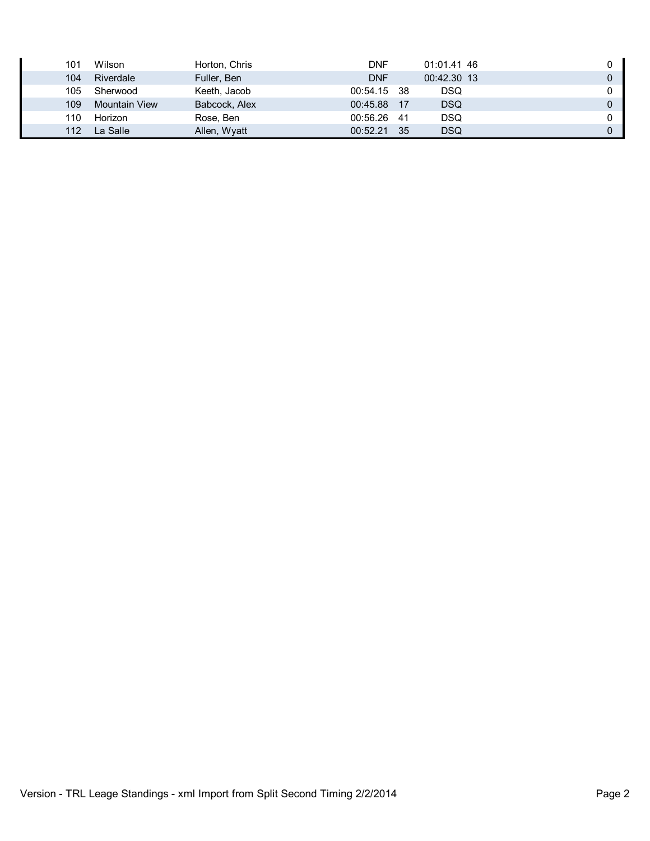| 101 | Wilson               | Horton, Chris | DNF         |    | 01:01.41 46 |   |
|-----|----------------------|---------------|-------------|----|-------------|---|
| 104 | Riverdale            | Fuller, Ben   | <b>DNF</b>  |    | 00:42.30 13 | 0 |
| 105 | Sherwood             | Keeth, Jacob  | 00:54.15 38 |    | DSQ         |   |
| 109 | <b>Mountain View</b> | Babcock, Alex | 00:45.88 17 |    | <b>DSQ</b>  | 0 |
| 110 | Horizon              | Rose, Ben     | 00:56.26 41 |    | DSQ         |   |
| 112 | La Salle             | Allen, Wyatt  | 00:52.21    | 35 | DSQ         | 0 |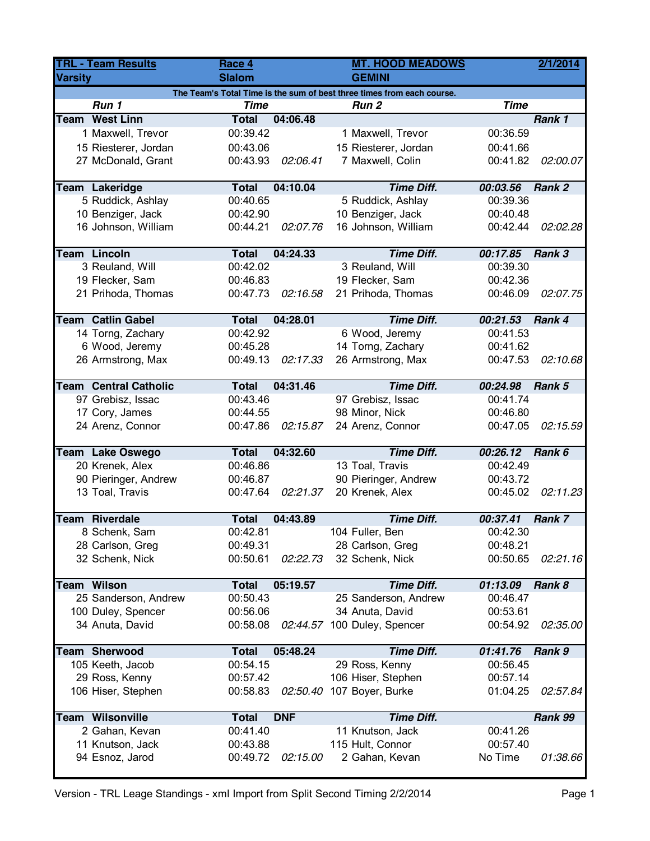| <b>TRL - Team Results</b>                               |                                                                        | Race 4               |            | <b>MT. HOOD MEADOWS</b>                |                      | 2/1/2014 |  |  |
|---------------------------------------------------------|------------------------------------------------------------------------|----------------------|------------|----------------------------------------|----------------------|----------|--|--|
| <b>Varsity</b>                                          |                                                                        | <b>Slalom</b>        |            | <b>GEMINI</b>                          |                      |          |  |  |
|                                                         | The Team's Total Time is the sum of best three times from each course. |                      |            |                                        |                      |          |  |  |
| Run 1<br><b>Time</b><br><b>Time</b><br>Run <sub>2</sub> |                                                                        |                      |            |                                        |                      |          |  |  |
|                                                         | <b>Team West Linn</b>                                                  | <b>Total</b>         | 04:06.48   |                                        |                      | Rank 1   |  |  |
|                                                         | 1 Maxwell, Trevor                                                      | 00:39.42             |            | 1 Maxwell, Trevor                      | 00:36.59             |          |  |  |
|                                                         | 15 Riesterer, Jordan                                                   | 00:43.06             |            | 15 Riesterer, Jordan                   | 00:41.66             |          |  |  |
|                                                         | 27 McDonald, Grant                                                     | 00:43.93             | 02:06.41   | 7 Maxwell, Colin                       | 00:41.82             | 02:00.07 |  |  |
|                                                         |                                                                        | <b>Total</b>         | 04:10.04   | <b>Time Diff.</b>                      |                      | Rank 2   |  |  |
|                                                         | <b>Team Lakeridge</b><br>5 Ruddick, Ashlay                             | 00:40.65             |            | 5 Ruddick, Ashlay                      | 00:03.56<br>00:39.36 |          |  |  |
|                                                         | 10 Benziger, Jack                                                      | 00:42.90             |            | 10 Benziger, Jack                      | 00:40.48             |          |  |  |
|                                                         | 16 Johnson, William                                                    | 00:44.21             | 02:07.76   | 16 Johnson, William                    | 00:42.44             | 02:02.28 |  |  |
|                                                         |                                                                        |                      |            |                                        |                      |          |  |  |
|                                                         | <b>Team Lincoln</b>                                                    | <b>Total</b>         | 04:24.33   | <b>Time Diff.</b>                      | 00:17.85             | Rank 3   |  |  |
|                                                         | 3 Reuland, Will                                                        | 00:42.02             |            | 3 Reuland, Will                        | 00:39.30             |          |  |  |
|                                                         | 19 Flecker, Sam                                                        | 00:46.83             |            | 19 Flecker, Sam                        | 00:42.36             |          |  |  |
|                                                         | 21 Prihoda, Thomas                                                     | 00:47.73             | 02:16.58   | 21 Prihoda, Thomas                     | 00:46.09             | 02:07.75 |  |  |
|                                                         | <b>Team Catlin Gabel</b>                                               | <b>Total</b>         | 04:28.01   | <b>Time Diff.</b>                      | 00:21.53             | Rank 4   |  |  |
|                                                         | 14 Torng, Zachary                                                      | 00:42.92             |            | 6 Wood, Jeremy                         | 00:41.53             |          |  |  |
|                                                         | 6 Wood, Jeremy                                                         |                      |            |                                        |                      |          |  |  |
|                                                         |                                                                        | 00:45.28<br>00:49.13 |            | 14 Torng, Zachary<br>26 Armstrong, Max | 00:41.62             |          |  |  |
|                                                         | 26 Armstrong, Max                                                      |                      | 02:17.33   |                                        | 00:47.53             | 02:10.68 |  |  |
|                                                         | <b>Team Central Catholic</b>                                           | <b>Total</b>         | 04:31.46   | <b>Time Diff.</b>                      | 00:24.98             | Rank 5   |  |  |
|                                                         | 97 Grebisz, Issac                                                      | 00:43.46             |            | 97 Grebisz, Issac                      | 00:41.74             |          |  |  |
|                                                         | 17 Cory, James                                                         | 00:44.55             |            | 98 Minor, Nick                         | 00:46.80             |          |  |  |
|                                                         | 24 Arenz, Connor                                                       | 00:47.86             | 02:15.87   | 24 Arenz, Connor                       | 00:47.05             | 02:15.59 |  |  |
|                                                         | Team Lake Oswego                                                       | <b>Total</b>         | 04:32.60   | <b>Time Diff.</b>                      | 00:26.12             | Rank 6   |  |  |
|                                                         | 20 Krenek, Alex                                                        | 00:46.86             |            | 13 Toal, Travis                        | 00:42.49             |          |  |  |
|                                                         | 90 Pieringer, Andrew                                                   | 00:46.87             |            | 90 Pieringer, Andrew                   | 00:43.72             |          |  |  |
|                                                         | 13 Toal, Travis                                                        | 00:47.64             | 02:21.37   | 20 Krenek, Alex                        | 00:45.02             | 02:11.23 |  |  |
|                                                         |                                                                        |                      |            |                                        |                      |          |  |  |
|                                                         | <b>Team Riverdale</b>                                                  | <b>Total</b>         | 04:43.89   | <b>Time Diff.</b>                      | 00:37.41             | Rank 7   |  |  |
|                                                         | 8 Schenk, Sam                                                          | 00:42.81             |            | 104 Fuller, Ben                        | 00:42.30             |          |  |  |
|                                                         | 28 Carlson, Greg                                                       | 00:49.31             |            | 28 Carlson, Greg                       | 00:48.21             |          |  |  |
|                                                         | 32 Schenk, Nick                                                        | 00:50.61             | 02:22.73   | 32 Schenk, Nick                        | 00:50.65             | 02:21.16 |  |  |
|                                                         | <b>Team Wilson</b>                                                     | <b>Total</b>         | 05:19.57   | <b>Time Diff.</b>                      | 01:13.09             | Rank 8   |  |  |
|                                                         | 25 Sanderson, Andrew                                                   | 00:50.43             |            | 25 Sanderson, Andrew                   | 00:46.47             |          |  |  |
|                                                         | 100 Duley, Spencer                                                     | 00:56.06             |            | 34 Anuta, David                        | 00:53.61             |          |  |  |
|                                                         | 34 Anuta, David                                                        | 00:58.08             | 02:44.57   | 100 Duley, Spencer                     | 00:54.92             | 02:35.00 |  |  |
|                                                         |                                                                        |                      |            |                                        |                      |          |  |  |
|                                                         | <b>Team Sherwood</b>                                                   | <b>Total</b>         | 05:48.24   | <b>Time Diff.</b>                      | 01:41.76             | Rank 9   |  |  |
|                                                         | 105 Keeth, Jacob                                                       | 00:54.15             |            | 29 Ross, Kenny                         | 00:56.45             |          |  |  |
|                                                         | 29 Ross, Kenny                                                         | 00:57.42             |            | 106 Hiser, Stephen                     | 00:57.14             |          |  |  |
|                                                         | 106 Hiser, Stephen                                                     | 00:58.83             |            | 02:50.40 107 Boyer, Burke              | 01:04.25             | 02:57.84 |  |  |
|                                                         | <b>Team Wilsonville</b>                                                | <b>Total</b>         | <b>DNF</b> | <b>Time Diff.</b>                      |                      | Rank 99  |  |  |
|                                                         | 2 Gahan, Kevan                                                         | 00:41.40             |            | 11 Knutson, Jack                       | 00:41.26             |          |  |  |
|                                                         | 11 Knutson, Jack                                                       | 00:43.88             |            | 115 Hult, Connor                       | 00:57.40             |          |  |  |
|                                                         | 94 Esnoz, Jarod                                                        | 00:49.72             | 02:15.00   | 2 Gahan, Kevan                         | No Time              | 01:38.66 |  |  |
|                                                         |                                                                        |                      |            |                                        |                      |          |  |  |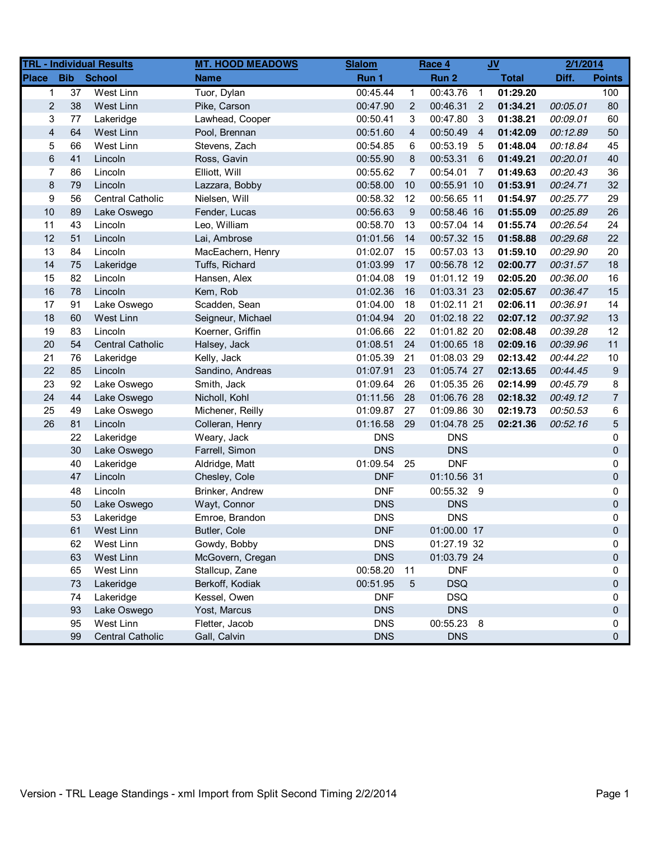| <b>TRL - Individual Results</b> |                 |                         | <b>MT. HOOD MEADOWS</b> | <b>Slalom</b> | Race 4         |             | $JV$           |              | 2/1/2014 |                |
|---------------------------------|-----------------|-------------------------|-------------------------|---------------|----------------|-------------|----------------|--------------|----------|----------------|
| <b>Place</b>                    | <b>Bib</b>      | <b>School</b>           | <b>Name</b>             | Run 1         |                | Run 2       |                | <b>Total</b> | Diff.    | <b>Points</b>  |
| $\mathbf 1$                     | $\overline{37}$ | West Linn               | Tuor, Dylan             | 00:45.44      | $\mathbf{1}$   | 00:43.76    | $\overline{1}$ | 01:29.20     |          | 100            |
| $\overline{2}$                  | 38              | West Linn               | Pike, Carson            | 00:47.90      | 2              | 00:46.31    | $\overline{2}$ | 01:34.21     | 00:05.01 | 80             |
| 3                               | 77              | Lakeridge               | Lawhead, Cooper         | 00:50.41      | 3              | 00:47.80    | -3             | 01:38.21     | 00:09.01 | 60             |
| $\overline{\mathbf{4}}$         | 64              | West Linn               | Pool, Brennan           | 00:51.60      | 4              | 00:50.49    | $\overline{4}$ | 01:42.09     | 00:12.89 | 50             |
| 5                               | 66              | West Linn               | Stevens, Zach           | 00:54.85      | 6              | 00:53.19    | - 5            | 01:48.04     | 00:18.84 | 45             |
| 6                               | 41              | Lincoln                 | Ross, Gavin             | 00:55.90      | 8              | 00:53.31    | 6              | 01:49.21     | 00:20.01 | 40             |
| 7                               | 86              | Lincoln                 | Elliott, Will           | 00:55.62      | $\overline{7}$ | 00:54.01    | $\overline{7}$ | 01:49.63     | 00:20.43 | 36             |
| $\bf 8$                         | 79              | Lincoln                 | Lazzara, Bobby          | 00:58.00      | 10             | 00:55.91 10 |                | 01:53.91     | 00:24.71 | 32             |
| 9                               | 56              | <b>Central Catholic</b> | Nielsen, Will           | 00:58.32      | 12             | 00:56.65 11 |                | 01:54.97     | 00:25.77 | 29             |
| 10                              | 89              | Lake Oswego             | Fender, Lucas           | 00:56.63      | 9              | 00:58.46 16 |                | 01:55.09     | 00:25.89 | 26             |
| 11                              | 43              | Lincoln                 | Leo, William            | 00:58.70      | 13             | 00:57.04 14 |                | 01:55.74     | 00:26.54 | 24             |
| 12                              | 51              | Lincoln                 | Lai, Ambrose            | 01:01.56      | 14             | 00:57.32 15 |                | 01:58.88     | 00:29.68 | 22             |
| 13                              | 84              | Lincoln                 | MacEachern, Henry       | 01:02.07      | 15             | 00:57.03 13 |                | 01:59.10     | 00:29.90 | 20             |
| 14                              | 75              | Lakeridge               | Tuffs, Richard          | 01:03.99      | 17             | 00:56.78 12 |                | 02:00.77     | 00:31.57 | 18             |
| 15                              | 82              | Lincoln                 | Hansen, Alex            | 01:04.08      | 19             | 01:01.12 19 |                | 02:05.20     | 00:36.00 | 16             |
| 16                              | 78              | Lincoln                 | Kem, Rob                | 01:02.36      | 16             | 01:03.31 23 |                | 02:05.67     | 00:36.47 | 15             |
| 17                              | 91              | Lake Oswego             | Scadden, Sean           | 01:04.00      | 18             | 01:02.11 21 |                | 02:06.11     | 00:36.91 | 14             |
| 18                              | 60              | West Linn               | Seigneur, Michael       | 01:04.94      | 20             | 01:02.18 22 |                | 02:07.12     | 00:37.92 | 13             |
| 19                              | 83              | Lincoln                 | Koerner, Griffin        | 01:06.66      | 22             | 01:01.82 20 |                | 02:08.48     | 00:39.28 | 12             |
| 20                              | 54              | <b>Central Catholic</b> | Halsey, Jack            | 01:08.51      | 24             | 01:00.65 18 |                | 02:09.16     | 00:39.96 | 11             |
| 21                              | 76              | Lakeridge               | Kelly, Jack             | 01:05.39      | 21             | 01:08.03 29 |                | 02:13.42     | 00:44.22 | 10             |
| 22                              | 85              | Lincoln                 | Sandino, Andreas        | 01:07.91      | 23             | 01:05.74 27 |                | 02:13.65     | 00:44.45 | 9              |
| 23                              | 92              | Lake Oswego             | Smith, Jack             | 01:09.64      | 26             | 01:05.35 26 |                | 02:14.99     | 00:45.79 | 8              |
| 24                              | 44              | Lake Oswego             | Nicholl, Kohl           | 01:11.56      | 28             | 01:06.76 28 |                | 02:18.32     | 00:49.12 | $\overline{7}$ |
| 25                              | 49              | Lake Oswego             | Michener, Reilly        | 01:09.87      | 27             | 01:09.86 30 |                | 02:19.73     | 00:50.53 | 6              |
| 26                              | 81              | Lincoln                 | Colleran, Henry         | 01:16.58      | 29             | 01:04.78 25 |                | 02:21.36     | 00:52.16 | 5              |
|                                 | 22              | Lakeridge               | Weary, Jack             | <b>DNS</b>    |                | <b>DNS</b>  |                |              |          | 0              |
|                                 | 30              | Lake Oswego             | Farrell, Simon          | <b>DNS</b>    |                | <b>DNS</b>  |                |              |          | 0              |
|                                 | 40              | Lakeridge               | Aldridge, Matt          | 01:09.54 25   |                | <b>DNF</b>  |                |              |          | 0              |
|                                 | 47              | Lincoln                 | Chesley, Cole           | <b>DNF</b>    |                | 01:10.56 31 |                |              |          | 0              |
|                                 | 48              | Lincoln                 | Brinker, Andrew         | <b>DNF</b>    |                | 00:55.32 9  |                |              |          | 0              |
|                                 | 50              | Lake Oswego             | Wayt, Connor            | <b>DNS</b>    |                | <b>DNS</b>  |                |              |          | 0              |
|                                 | 53              | Lakeridge               | Emroe, Brandon          | <b>DNS</b>    |                | <b>DNS</b>  |                |              |          | 0              |
|                                 | 61              | West Linn               | Butler, Cole            | <b>DNF</b>    |                | 01:00.00 17 |                |              |          | $\Omega$       |
|                                 | 62              | West Linn               | Gowdy, Bobby            | <b>DNS</b>    |                | 01:27.19 32 |                |              |          | 0              |
|                                 | 63              | West Linn               | McGovern, Cregan        | <b>DNS</b>    |                | 01:03.79 24 |                |              |          | 0              |
|                                 | 65              | West Linn               | Stallcup, Zane          | 00:58.20      | 11             | <b>DNF</b>  |                |              |          | 0              |
|                                 | 73              | Lakeridge               | Berkoff, Kodiak         | 00:51.95      | 5              | <b>DSQ</b>  |                |              |          | 0              |
|                                 | 74              | Lakeridge               | Kessel, Owen            | <b>DNF</b>    |                | <b>DSQ</b>  |                |              |          | 0              |
|                                 | 93              | Lake Oswego             | Yost, Marcus            | <b>DNS</b>    |                | <b>DNS</b>  |                |              |          | 0              |
|                                 | 95              | West Linn               | Fletter, Jacob          | <b>DNS</b>    |                | 00:55.23 8  |                |              |          | 0              |
|                                 | 99              | <b>Central Catholic</b> | Gall, Calvin            | <b>DNS</b>    |                | <b>DNS</b>  |                |              |          | 0              |